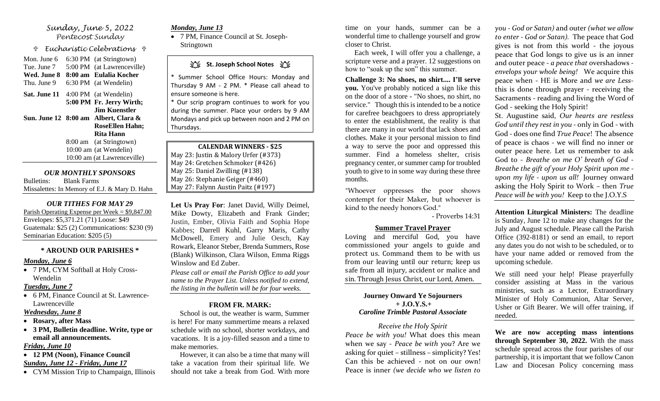### *Sunday, June 5, 2022 Pentecost Sunday*

 *Eucharistic Celebrations* 

Mon. June 6 6:30 PM (at Stringtown) Tue. June 7 5:00 PM (at Lawrenceville) **Wed. June 8 8:00 am Eulalia Kocher** Thu. June 9 6:30 PM (at Wendelin) **Sat. June 11** 4:00 PM (at Wendelin) **5:00 PM Fr. Jerry Wirth; Jim Kuenstler Sun. June 12 8:00 am Albert, Clara & RoseEllen Hahn; Rita Hann** 8:00 am (at Stringtown)

10:00 am (at Wendelin) 10:00 am (at Lawrenceville)

*OUR MONTHLY SPONSORS* Bulletins: Blank Farms Missalettes: In Memory of E.J. & Mary D. Hahn

### *OUR TITHES FOR MAY 29*

Parish Operating Expense per Week = \$9,847.00 Envelopes: \$5,371.21 (71) Loose: \$49 Guatemala: \$25 (2) Communications: \$230 (9) Seminarian Education: \$205 (5)

### **\* AROUND OUR PARISHES \***

### *Monday, June 6*

• 7 PM, CYM Softball at Holy Cross-Wendelin

### *Tuesday, June 7*

• 6 PM, Finance Council at St. Lawrence-Lawrenceville

### *Wednesday, June 8*

- **Rosary, after Mass**
- **3 PM, Bulletin deadline. Write, type or email all announcements.**

### *Friday, June 10*

• **12 PM (Noon), Finance Council**  *Sunday, June 12 - Friday, June 17*

• CYM Mission Trip to Champaign, Illinois

### *Monday, June 13*

• 7 PM, Finance Council at St. Joseph-Stringtown

# **江、St. Joseph School Notes** 江、

\* Summer School Office Hours: Monday and Thursday 9 AM - 2 PM. \* Please call ahead to ensure someone is here.

\* Our scrip program continues to work for you during the summer. Place your orders by 9 AM Mondays and pick up between noon and 2 PM on Thursdays.

**CALENDAR WINNERS - \$25** May 23: Justin & Malory Urfer (#373) May 24: Gretchen Schmoker (#426) May 25: Daniel Zwilling (#138) May 26: Stephanie Geiger (#460) May 27: Falynn Austin Paitz (#197)

**Let Us Pray For**: Janet David, Willy Deimel, Mike Dowty, Elizabeth and Frank Ginder; Justin, Ember, Olivia Faith and Sophia Hope Kabbes; Darrell Kuhl, Garry Maris, Cathy McDowell, Emery and Julie Oesch, Kay Rowark, Eleanor Steber, Brenda Summers, Rose (Blank) Wilkinson, Clara Wilson, Emma Riggs Winslow and Ed Zuber.

*Please call or email the Parish Office to add your name to the Prayer List. Unless notified to extend, the listing in the bulletin will be for four weeks.*

### **FROM FR. MARK:**

 School is out, the weather is warm, Summer is here! For many summertime means a relaxed schedule with no school, shorter workdays, and vacations. It is a joy-filled season and a time to make memories.

 However, it can also be a time that many will take a vacation from their spiritual life. We should not take a break from God. With more

time on your hands, summer can be a wonderful time to challenge yourself and grow closer to Christ.

 Each week, I will offer you a challenge, a scripture verse and a prayer. 12 suggestions on how to "soak up the son" this summer.

**Challenge 3: No shoes, no shirt.... I'll serve you.** You've probably noticed a sign like this on the door of a store - "No shoes, no shirt, no service." Though this is intended to be a notice for carefree beachgoers to dress appropriately to enter the establishment, the reality is that there are many in our world that lack shoes and clothes. Make it your personal mission to find a way to serve the poor and oppressed this summer. Find a homeless shelter, crisis pregnancy center, or summer camp for troubled youth to give to in some way during these three months.

"Whoever oppresses the poor shows contempt for their Maker, but whoever is kind to the needy honors God."

- Proverbs 14:31

## **Summer Travel Prayer**

Loving and merciful God, you have commissioned your angels to guide and protect us. Command them to be with us from our leaving until our return; keep us safe from all injury, accident or malice and sin. Through Jesus Christ, our Lord, Amen.

### **Journey Onward Ye Sojourners + J.O.Y.S.+**  *Caroline Trimble Pastoral Associate*

*Receive the Holy Spirit Peace be with you!* What does this mean when we say - *Peace be with you*? Are we asking for quiet – stillness – simplicity? Yes! Can this be achieved - not on our own! Peace is inner *(we decide who we listen to*  *you - God or Satan)* and outer *(what we allow to enter - God or Satan).* The peace that God gives is not from this world - the joyous peace that God longs to give us is an inner and outer peace - *a peace that* overshadows  *envelops your whole being!* We acquire this peace when - HE is More and *we are Less*this is done through prayer - receiving the Sacraments - reading and living the Word of God - seeking the Holy Spirit!

St. Augustine said, *Our hearts are restless God until they rest in you -* only in God - with God - does one find *True Peace*! The absence of peace is chaos - we will find no inner or outer peace here. Let us remember to ask God to - *Breathe on me O' breath of God - Breathe the gift of your Holy Spirit upon me upon my life - upon us all!* Journey onward asking the Holy Spirit to Work – then *True Peace will be with you!* Keep to the J.O.Y.S

**Attention Liturgical Ministers:** The deadline is Sunday, June 12 to make any changes for the July and August schedule. Please call the Parish Office (392-8181) or send an email, to report any dates you do not wish to be scheduled, or to have your name added or removed from the upcoming schedule.

We still need your help! Please prayerfully consider assisting at Mass in the various ministries, such as a Lector, Extraordinary Minister of Holy Communion, Altar Server, Usher or Gift Bearer. We will offer training, if needed.

**We are now accepting mass intentions through September 30, 2022.** With the mass schedule spread across the four parishes of our partnership, it is important that we follow Canon Law and Diocesan Policy concerning mass